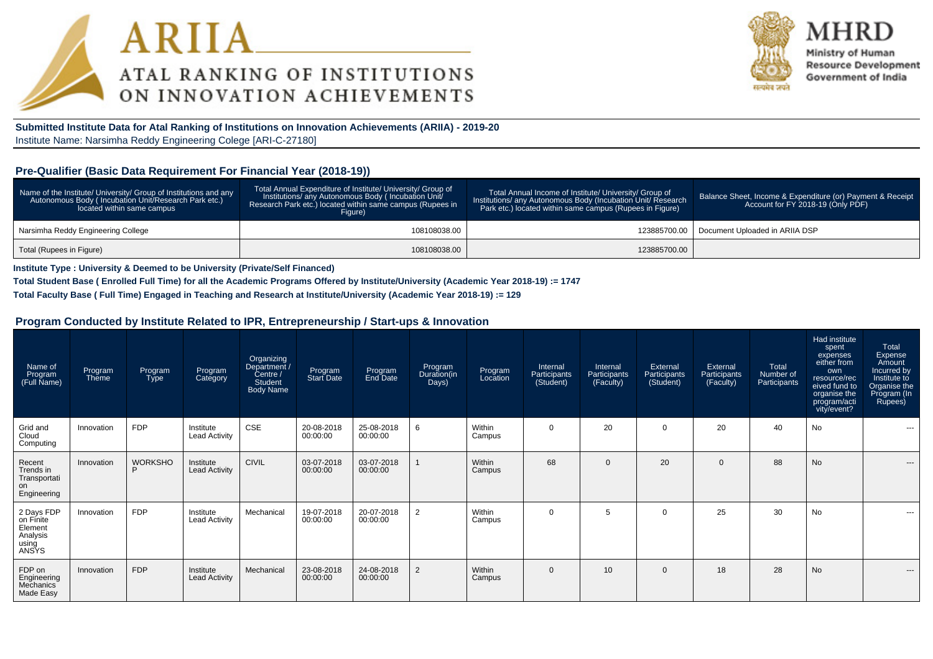



Ministry of Human **Resource Development** Government of India

**Submitted Institute Data for Atal Ranking of Institutions on Innovation Achievements (ARIIA) - 2019-20**Institute Name: Narsimha Reddy Engineering Colege [ARI-C-27180]

#### **Pre-Qualifier (Basic Data Requirement For Financial Year (2018-19))**

| Name of the Institute/ University/ Group of Institutions and any<br>Autonomous Body (Incubation Unit/Research Park etc.)<br>located within same campus | Total Annual Expenditure of Institute/ University/ Group of<br>Institutions/ any Autonomous Body (Incubation Unit/<br>Research Park etc.) located within same campus (Rupees in<br>Figure) | Total Annual Income of Institute/ University/ Group of<br>Institutions/ any Autonomous Body (Incubation Unit/ Research<br>Park etc.) located within same campus (Rupees in Figure) | Balance Sheet, Income & Expenditure (or) Payment & Receipt<br>Account for FY 2018-19 (Only PDF) |
|--------------------------------------------------------------------------------------------------------------------------------------------------------|--------------------------------------------------------------------------------------------------------------------------------------------------------------------------------------------|------------------------------------------------------------------------------------------------------------------------------------------------------------------------------------|-------------------------------------------------------------------------------------------------|
| Narsimha Reddy Engineering College                                                                                                                     | 108108038.00                                                                                                                                                                               |                                                                                                                                                                                    | 123885700.00   Document Uploaded in ARIIA DSP                                                   |
| Total (Rupees in Figure)                                                                                                                               | 108108038.00                                                                                                                                                                               | 123885700.00                                                                                                                                                                       |                                                                                                 |

**Institute Type : University & Deemed to be University (Private/Self Financed)**

**Total Student Base ( Enrolled Full Time) for all the Academic Programs Offered by Institute/University (Academic Year 2018-19) := 1747**

**Total Faculty Base ( Full Time) Engaged in Teaching and Research at Institute/University (Academic Year 2018-19) := 129**

#### **Program Conducted by Institute Related to IPR, Entrepreneurship / Start-ups & Innovation**

| Name of<br>Program<br>(Full Name)                                | Program<br>Theme | Program<br><b>Type</b> | Program<br>Category               | Organizing<br>Department /<br>Centre /<br><b>Student</b><br><b>Body Name</b> | Program<br>Start Date  | Program<br>End Date    | Program<br>Duration(in<br>Days) | Program<br>Location | Internal<br>Participants<br>(Student) | Internal<br>Participants<br>(Faculty) | External<br>Participants<br>(Student) | External<br>Participants<br>(Faculty) | Total<br>Number of<br>Participants | Had institute<br>spent<br>expenses<br>either from<br>own<br>resource/rec<br>eived fund to<br>organise the<br>program/acti<br>vity/event? | Total<br>Expense<br>Amount<br>Incurred by<br>Institute to<br>Organise the<br>Program (In<br>Rupees) |
|------------------------------------------------------------------|------------------|------------------------|-----------------------------------|------------------------------------------------------------------------------|------------------------|------------------------|---------------------------------|---------------------|---------------------------------------|---------------------------------------|---------------------------------------|---------------------------------------|------------------------------------|------------------------------------------------------------------------------------------------------------------------------------------|-----------------------------------------------------------------------------------------------------|
| Grid and<br>Cloud<br>Computing                                   | Innovation       | <b>FDP</b>             | Institute<br><b>Lead Activity</b> | <b>CSE</b>                                                                   | 20-08-2018<br>00:00:00 | 25-08-2018<br>00:00:00 | 6                               | Within<br>Campus    | $\overline{0}$                        | 20                                    | $\Omega$                              | 20                                    | 40                                 | No                                                                                                                                       | ---                                                                                                 |
| Recent<br>Trends in<br>Transportati<br>on<br>Engineering         | Innovation       | <b>WORKSHO</b><br>D    | Institute<br><b>Lead Activity</b> | <b>CIVIL</b>                                                                 | 03-07-2018<br>00:00:00 | 03-07-2018<br>00:00:00 |                                 | Within<br>Campus    | 68                                    | $\Omega$                              | 20                                    | $\overline{0}$                        | 88                                 | <b>No</b>                                                                                                                                | $---$                                                                                               |
| 2 Days FDP<br>on Finite<br>Element<br>Analysis<br>using<br>ANSYS | Innovation       | <b>FDP</b>             | Institute<br><b>Lead Activity</b> | Mechanical                                                                   | 19-07-2018<br>00:00:00 | 20-07-2018<br>00:00:00 | $\overline{2}$                  | Within<br>Campus    | $\mathbf 0$                           | 5                                     | $\Omega$                              | 25                                    | 30                                 | No                                                                                                                                       | ---                                                                                                 |
| FDP on<br>Engineering<br>Mechanics<br>Made Easy                  | Innovation       | <b>FDP</b>             | Institute<br><b>Lead Activity</b> | Mechanical                                                                   | 23-08-2018<br>00:00:00 | 24-08-2018<br>00:00:00 | $\overline{2}$                  | Within<br>Campus    | $\mathbf{0}$                          | 10                                    | $\Omega$                              | 18                                    | 28                                 | <b>No</b>                                                                                                                                | $---$                                                                                               |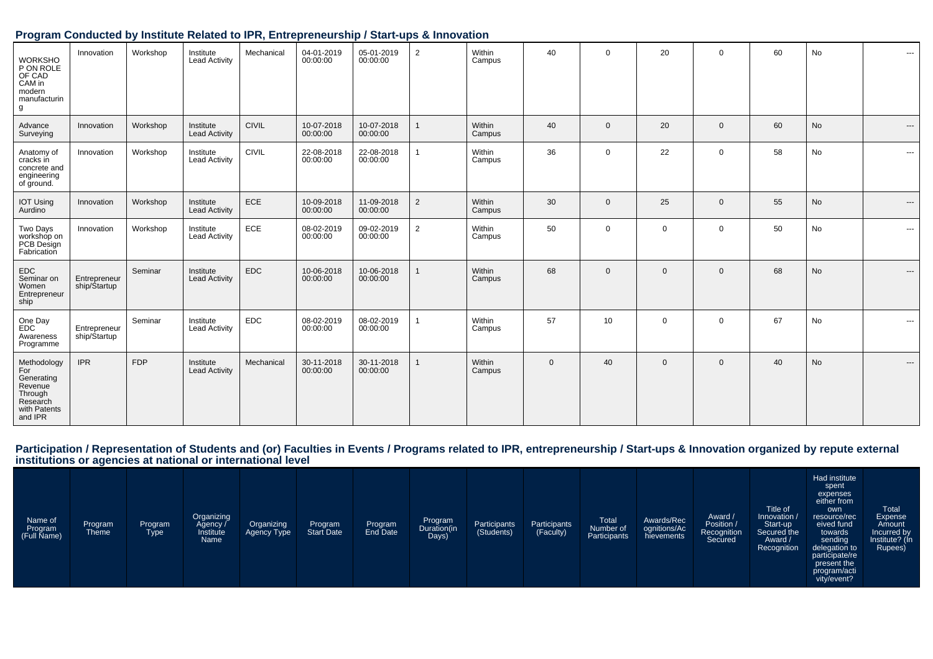## **Program Conducted by Institute Related to IPR, Entrepreneurship / Start-ups & Innovation**

| <b>WORKSHO</b><br>P ON ROLE<br>OF CAD<br>CAM in<br>modern<br>manufacturin<br>g                | Innovation                   | Workshop   | Institute<br><b>Lead Activity</b> | Mechanical   | 04-01-2019<br>00:00:00 | 05-01-2019<br>00:00:00 | $\overline{2}$          | Within<br>Campus | 40           | $\mathbf 0$  | 20           | $\mathbf 0$  | 60 | No | $\cdots$ |
|-----------------------------------------------------------------------------------------------|------------------------------|------------|-----------------------------------|--------------|------------------------|------------------------|-------------------------|------------------|--------------|--------------|--------------|--------------|----|----|----------|
| Advance<br>Surveying                                                                          | Innovation                   | Workshop   | Institute<br><b>Lead Activity</b> | <b>CIVIL</b> | 10-07-2018<br>00:00:00 | 10-07-2018<br>00:00:00 | $\overline{\mathbf{1}}$ | Within<br>Campus | 40           | $\mathbf{0}$ | 20           | $\mathbf 0$  | 60 | No | $---$    |
| Anatomy of<br>cracks in<br>concrete and<br>engineering<br>of ground.                          | Innovation                   | Workshop   | Institute<br><b>Lead Activity</b> | <b>CIVIL</b> | 22-08-2018<br>00:00:00 | 22-08-2018<br>00:00:00 | $\overline{1}$          | Within<br>Campus | 36           | 0            | 22           | $\mathbf 0$  | 58 | No | $\cdots$ |
| <b>IOT Using</b><br>Aurdino                                                                   | Innovation                   | Workshop   | Institute<br><b>Lead Activity</b> | ECE          | 10-09-2018<br>00:00:00 | 11-09-2018<br>00:00:00 | $\overline{2}$          | Within<br>Campus | 30           | $\Omega$     | 25           | $\mathbf{0}$ | 55 | No | $\cdots$ |
| Two Days<br>workshop on<br>PCB Design<br>Fabrication                                          | Innovation                   | Workshop   | Institute<br><b>Lead Activity</b> | ECE          | 08-02-2019<br>00:00:00 | 09-02-2019<br>00:00:00 | $\overline{2}$          | Within<br>Campus | 50           | $\Omega$     | $\mathbf 0$  | $\mathbf 0$  | 50 | No | $\cdots$ |
| EDC<br>Seminar on<br>Women<br>Entrepreneur<br>ship                                            | Entrepreneur<br>ship/Startup | Seminar    | Institute<br><b>Lead Activity</b> | <b>EDC</b>   | 10-06-2018<br>00:00:00 | 10-06-2018<br>00:00:00 |                         | Within<br>Campus | 68           | $\Omega$     | $\mathbf{0}$ | $\mathbf{0}$ | 68 | No | $\cdots$ |
| One Day<br><b>EDC</b><br>Awareness<br>Programme                                               | Entrepreneur<br>ship/Startup | Seminar    | Institute<br><b>Lead Activity</b> | <b>EDC</b>   | 08-02-2019<br>00:00:00 | 08-02-2019<br>00:00:00 | $\overline{1}$          | Within<br>Campus | 57           | 10           | $\mathbf 0$  | $\mathbf 0$  | 67 | No | ---      |
| Methodology<br>For<br>Generating<br>Revenue<br>Through<br>Research<br>with Patents<br>and IPR | <b>IPR</b>                   | <b>FDP</b> | Institute<br><b>Lead Activity</b> | Mechanical   | 30-11-2018<br>00:00:00 | 30-11-2018<br>00:00:00 |                         | Within<br>Campus | $\mathbf{0}$ | 40           | $\mathbf{0}$ | $\mathbf{0}$ | 40 | No | $\cdots$ |

# Participation / Representation of Students and (or) Faculties in Events / Programs related to IPR, entrepreneurship / Start-ups & Innovation organized by repute external<br>institutions or agencies at national or internationa

| Name of<br>Program<br>(Full Name) | Program<br>Theme | Program<br><b>Type</b> | Organizing<br>Agency /<br>Institute<br>Name | Organizing<br>Agency Type | Program<br>Start Date | Program<br>End Date | Program<br>Duration(in<br>Days) | Participants<br>(Students) | Participants<br>(Faculty) | Total<br>Number of<br>Participants | Awards/Rec<br>ognitions/Ac<br>hievements | Award /<br>Position /<br>Recognition<br>Secured | Title of<br>Innovation /<br>Start-up<br>Secured the<br>Award /<br>Recognition | Had institute<br>spent<br>expenses<br>either from<br>own<br>resource/rec<br>eived fund<br>towards<br>sending<br>delegation to<br>participate/re<br>present the<br>program/acti<br>vity/event? | <b>Total</b><br>Expense<br>Amount<br>Incurred by<br>Institute? (In<br>Rupees) |
|-----------------------------------|------------------|------------------------|---------------------------------------------|---------------------------|-----------------------|---------------------|---------------------------------|----------------------------|---------------------------|------------------------------------|------------------------------------------|-------------------------------------------------|-------------------------------------------------------------------------------|-----------------------------------------------------------------------------------------------------------------------------------------------------------------------------------------------|-------------------------------------------------------------------------------|
|-----------------------------------|------------------|------------------------|---------------------------------------------|---------------------------|-----------------------|---------------------|---------------------------------|----------------------------|---------------------------|------------------------------------|------------------------------------------|-------------------------------------------------|-------------------------------------------------------------------------------|-----------------------------------------------------------------------------------------------------------------------------------------------------------------------------------------------|-------------------------------------------------------------------------------|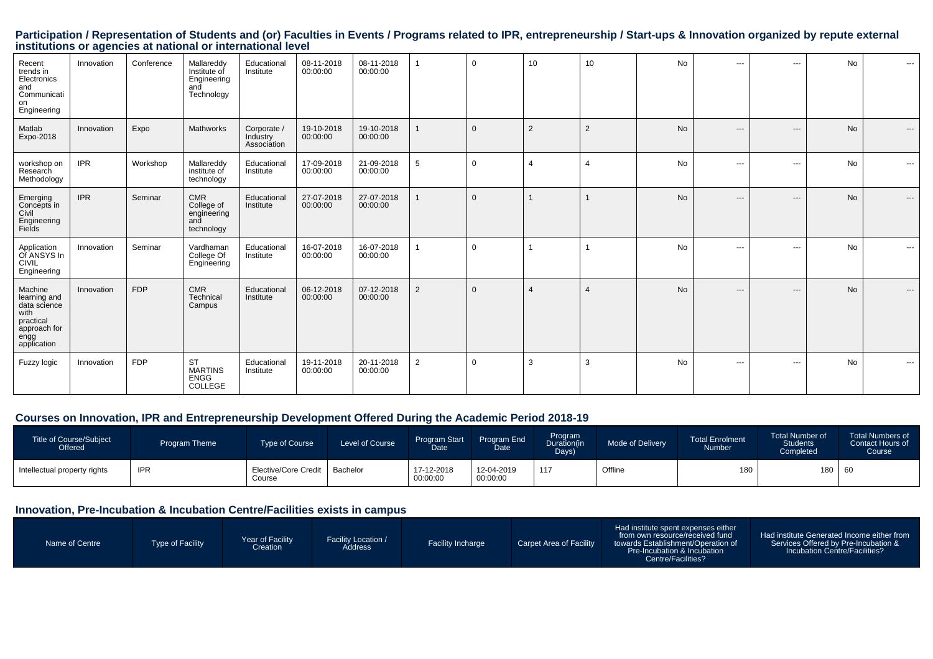Participation / Representation of Students and (or) Faculties in Events / Programs related to IPR, entrepreneurship / Start-ups & Innovation organized by repute external<br>institutions or agencies at national or internationa

| Recent<br>trends in<br>Electronics<br>and<br>Communicati<br>on<br>Engineering                       | Innovation | Conference | Mallareddy<br>Institute of<br>Engineering<br>and<br>Technology | Educational<br>Institute               | 08-11-2018<br>00:00:00 | 08-11-2018<br>00:00:00 |                 | $\mathbf 0$  | 10             | 10             | No        | ---   | $\sim$ $\sim$           | <b>No</b> | $---$    |
|-----------------------------------------------------------------------------------------------------|------------|------------|----------------------------------------------------------------|----------------------------------------|------------------------|------------------------|-----------------|--------------|----------------|----------------|-----------|-------|-------------------------|-----------|----------|
| Matlab<br>Expo-2018                                                                                 | Innovation | Expo       | Mathworks                                                      | Corporate /<br>Industry<br>Association | 19-10-2018<br>00:00:00 | 19-10-2018<br>00:00:00 |                 | $\Omega$     | 2              | $\overline{2}$ | <b>No</b> | $---$ | $---$                   | <b>No</b> | $---$    |
| workshop on<br>Research<br>Methodology                                                              | <b>IPR</b> | Workshop   | Mallareddy<br>institute of<br>technology                       | Educational<br>Institute               | 17-09-2018<br>00:00:00 | 21-09-2018<br>00:00:00 | $5\phantom{.0}$ | $\mathbf 0$  | 4              | $\overline{4}$ | <b>No</b> | ---   | $\cdots$                | No        | $\cdots$ |
| Emerging<br>Concepts in<br>Civil<br>Engineering<br>Fields                                           | <b>IPR</b> | Seminar    | <b>CMR</b><br>College of<br>engineering<br>and<br>technology   | Educational<br>Institute               | 27-07-2018<br>00:00:00 | 27-07-2018<br>00:00:00 |                 | $\mathbf{0}$ | $\mathbf 1$    |                | <b>No</b> | $---$ | $---$                   | <b>No</b> | $---$    |
| Application<br>Of ANSYS In<br><b>CIVIL</b><br>Engineering                                           | Innovation | Seminar    | Vardhaman<br>College Of<br>Engineering                         | Educational<br>Institute               | 16-07-2018<br>00:00:00 | 16-07-2018<br>00:00:00 |                 | $\mathbf 0$  |                |                | <b>No</b> | ---   | $\sim$ $\sim$           | <b>No</b> | $\cdots$ |
| Machine<br>learning and<br>data science<br>with<br>practical<br>approach for<br>engg<br>application | Innovation | <b>FDP</b> | <b>CMR</b><br>Technical<br>Campus                              | Educational<br>Institute               | 06-12-2018<br>00:00:00 | 07-12-2018<br>00:00:00 | 2               | $\Omega$     | $\overline{4}$ | $\overline{4}$ | <b>No</b> | ---   | $\qquad \qquad -\qquad$ | <b>No</b> | $---$    |
| Fuzzy logic                                                                                         | Innovation | <b>FDP</b> | <b>ST</b><br><b>MARTINS</b><br><b>ENGG</b><br>COLLEGE          | Educational<br>Institute               | 19-11-2018<br>00:00:00 | 20-11-2018<br>00:00:00 | $\overline{2}$  | $\mathbf 0$  | 3              | 3              | No        | $---$ | $\sim$ $\sim$           | <b>No</b> | $\cdots$ |

#### **Courses on Innovation, IPR and Entrepreneurship Development Offered During the Academic Period 2018-19**

| Title of Course/Subject<br>Offered | <b>Program Theme</b> | <b>Type of Course</b>          | Level of Course | <b>Program Start</b><br>Date | Program End<br><b>Date</b> | Program<br>Duration(in<br>Days) | Mode of Delivery | <b>Total Enrolment</b><br><b>Number</b> | Total Number of<br><b>Students</b><br>Completed | <b>Total Numbers of</b><br>Contact Hours of<br>Course |
|------------------------------------|----------------------|--------------------------------|-----------------|------------------------------|----------------------------|---------------------------------|------------------|-----------------------------------------|-------------------------------------------------|-------------------------------------------------------|
| Intellectual property rights       | <b>IPR</b>           | Elective/Core Credit<br>Course | Bachelor        | 17-12-2018<br>00:00:00       | 12-04-2019<br>00:00:00     | 117                             | Offline          | 180                                     | 180   60                                        |                                                       |

#### **Innovation, Pre-Incubation & Incubation Centre/Facilities exists in campus**

| Name of Centre<br>Type of Facility | Year of Facility<br>Creation | <b>Facility Location /</b><br><b>Address</b> | <b>Facility Incharge</b> | Carpet Area of Facility | Had institute spent expenses either<br>from own resource/received fund<br>towards Establishment/Operation of<br>Pre-Incubation & Incubation<br>Centre/Facilities? | Had institute Generated Income either from<br>Services Offered by Pre-Incubation &<br>Incubation Centre/Facilities? |
|------------------------------------|------------------------------|----------------------------------------------|--------------------------|-------------------------|-------------------------------------------------------------------------------------------------------------------------------------------------------------------|---------------------------------------------------------------------------------------------------------------------|
|------------------------------------|------------------------------|----------------------------------------------|--------------------------|-------------------------|-------------------------------------------------------------------------------------------------------------------------------------------------------------------|---------------------------------------------------------------------------------------------------------------------|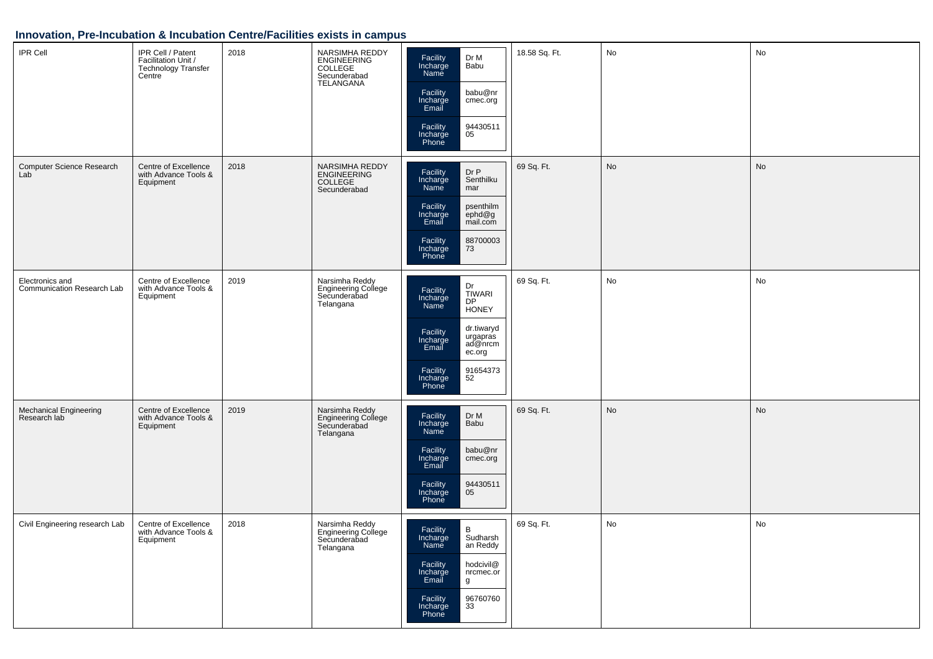## **Innovation, Pre-Incubation & Incubation Centre/Facilities exists in campus**

| IPR Cell                                      | IPR Cell / Patent<br>Facilitation Unit /<br>Technology Transfer<br>Centre | 2018 | NARSIMHA REDDY<br>ENGINEERING<br>COLLEGE<br>Secunderabad<br>TELANGANA | Facility<br>Incharge<br>Dr M<br>Babu<br>Name<br>babu@nr<br>Facility<br>Incharge<br>Email<br>cmec.org<br>94430511<br>Facility<br>Incharge<br>Phone<br>05                                               | 18.58 Sq. Ft. | No | No            |
|-----------------------------------------------|---------------------------------------------------------------------------|------|-----------------------------------------------------------------------|-------------------------------------------------------------------------------------------------------------------------------------------------------------------------------------------------------|---------------|----|---------------|
| Computer Science Research<br>Lab              | Centre of Excellence<br>with Advance Tools &<br>Equipment                 | 2018 | NARSIMHA REDDY<br>ENGINEERING<br>COLLEGE<br>Secunderabad              | Dr P<br>Facility<br>Incharge<br>Senthilku<br>Name<br>mar<br>Facility<br>Incharge<br>Email<br>psenthilm<br>ephd@g<br>mail.com<br>88700003<br>73<br>Facility<br>Incharge<br>Phone                       | 69 Sq. Ft.    | No | $\mathsf{No}$ |
| Electronics and<br>Communication Research Lab | Centre of Excellence<br>with Advance Tools &<br>Equipment                 | 2019 | Narsimha Reddy<br>Engineering College<br>Secunderabad<br>Telangana    | Dr<br>Facility<br>Incharge<br>Name<br>TIWARI<br>DP<br><b>HONEY</b><br>dr.tiwaryd<br>Facility<br>Incharge<br>Email<br>urgapras<br>ad@nrcm<br>ec.org<br>91654373<br>52<br>Facility<br>Incharge<br>Phone | 69 Sq. Ft.    | No | No            |
| Mechanical Engineering<br>Research lab        | Centre of Excellence<br>with Advance Tools &<br>Equipment                 | 2019 | Narsimha Reddy<br>Engineering College<br>Secunderabad<br>Telangana    | Dr M<br>Facility<br>Incharge<br>Babu<br>Name<br>babu@nr<br>Facility<br>Incharge<br>Email<br>cmec.org<br>94430511<br>05<br>Facility<br>Incharge<br>Phone                                               | 69 Sq. Ft.    | No | No            |
| Civil Engineering research Lab                | Centre of Excellence<br>with Advance Tools &<br>Equipment                 | 2018 | Narsimha Reddy<br>Engineering College<br>Secunderabad<br>Telangana    | $\, {\bf B}$<br>Facility<br>Incharge<br>Sudharsh<br>Name<br>an Reddy<br>hodcivil@<br>Facility<br>Incharge<br>nrcmec.or<br>Email<br>g<br>96760760<br>Facility<br>33<br>Incharge<br>Phone               | 69 Sq. Ft.    | No | No            |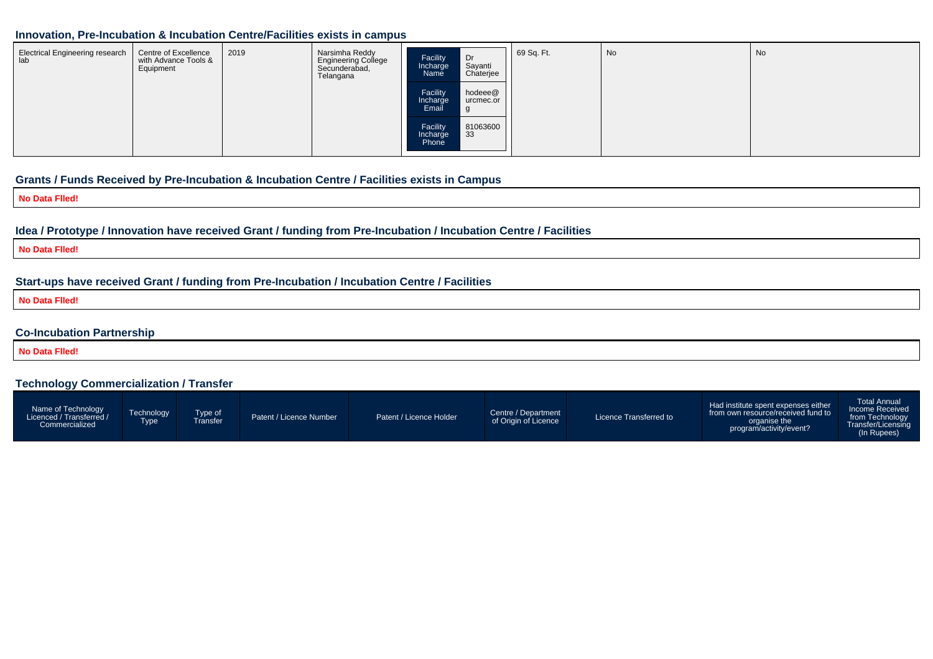#### **Innovation, Pre-Incubation & Incubation Centre/Facilities exists in campus**

| <b>Electrical Engineering research</b><br>lab | Centre of Excellence<br>with Advance Tools &<br>Equipment | 2019 | Narsimha Reddy<br><b>Engineering College</b><br>Secunderabad,<br>Telangana | Facility<br>Incharge<br>Name  | Dr<br>Sayanti<br>Chaterjee | 69 Sq. Ft. | No | - No |
|-----------------------------------------------|-----------------------------------------------------------|------|----------------------------------------------------------------------------|-------------------------------|----------------------------|------------|----|------|
|                                               |                                                           |      |                                                                            | Facility<br>Incharge<br>Email | hodeee@<br>urcmec.or       |            |    |      |
|                                               |                                                           |      |                                                                            | Facility<br>Incharge<br>Phone | 81063600<br>33             |            |    |      |

#### **Grants / Funds Received by Pre-Incubation & Incubation Centre / Facilities exists in Campus**

**No Data Flled!**

#### **Idea / Prototype / Innovation have received Grant / funding from Pre-Incubation / Incubation Centre / Facilities**

**No Data Flled!**

#### **Start-ups have received Grant / funding from Pre-Incubation / Incubation Centre / Facilities**

**No Data Flled!**

#### **Co-Incubation Partnership**

**No Data Flled!**

#### **Technology Commercialization / Transfer**

| Name of Technology<br>Licenced / Transferred /<br>Commercialized | Technology<br>Type | Type of<br><sup>-</sup> ransfer | Patent / Licence Number | Patent / Licence Holder | Centre / Department<br>of Origin of Licence | Licence Transferred to | Had institute spent expenses either<br>from own resource/received fund to<br>organise the<br>program/activity/event? | Total Annual<br>Income Received<br>from Technology<br>Transfer/Licensing<br>(In Rupees) |
|------------------------------------------------------------------|--------------------|---------------------------------|-------------------------|-------------------------|---------------------------------------------|------------------------|----------------------------------------------------------------------------------------------------------------------|-----------------------------------------------------------------------------------------|
|------------------------------------------------------------------|--------------------|---------------------------------|-------------------------|-------------------------|---------------------------------------------|------------------------|----------------------------------------------------------------------------------------------------------------------|-----------------------------------------------------------------------------------------|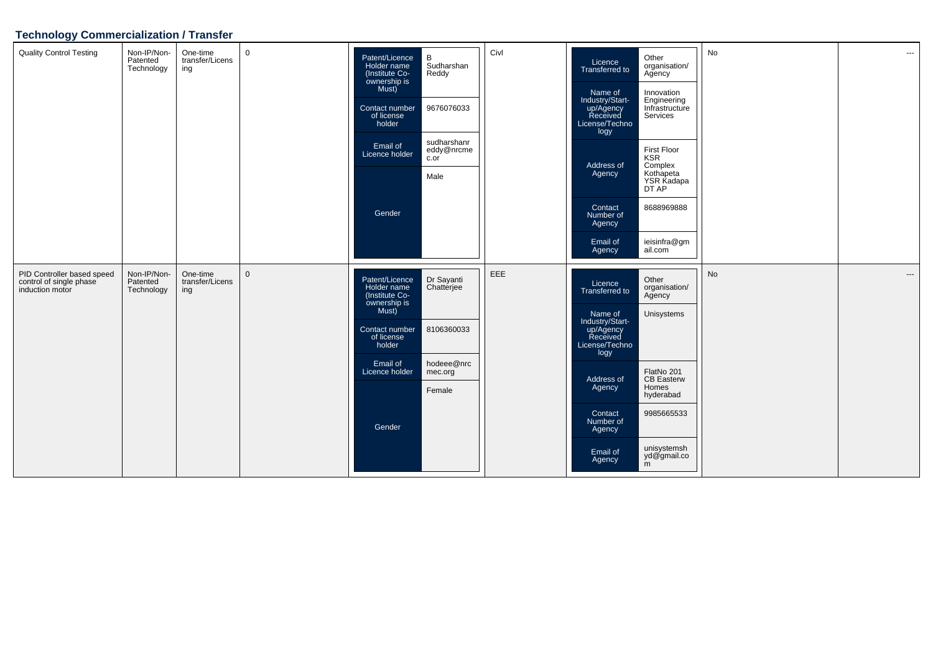# **Technology Commercialization / Transfer**

| <b>Quality Control Testing</b>                                           | Non-IP/Non-<br>Patented<br>Technology | One-time<br>transfer/Licens<br>ing | $\mathbf 0$  | Patent/Licence<br>Holder name<br>(Institute Co-<br>ownership is<br>Must)<br>Contact number<br>of license<br>holder<br>Email of<br>Licence holder<br>Gender | В<br>Sudharshan<br>Reddy<br>9676076033<br>sudharshanr<br>eddy@nrcme<br>c.or<br>Male | Civl | Licence<br>Transferred to<br>Name of<br>Industry/Start-<br>up/Agency<br>Received<br>License/Techno<br>logy<br>Address of<br>Agency<br>Contact<br>Number of<br>Agency<br>Email of<br>Agency        | Other<br>organisation/<br>Agency<br>Innovation<br>Engineering<br>Infrastructure<br>Services<br>First Floor<br><b>KSR</b><br>Complex<br>Kothapeta<br>YSR Kadapa<br>DT AP<br>8688969888<br>ieisinfra@gm<br>ail.com | No | $\hspace{0.05cm} \ldots$ |
|--------------------------------------------------------------------------|---------------------------------------|------------------------------------|--------------|------------------------------------------------------------------------------------------------------------------------------------------------------------|-------------------------------------------------------------------------------------|------|---------------------------------------------------------------------------------------------------------------------------------------------------------------------------------------------------|------------------------------------------------------------------------------------------------------------------------------------------------------------------------------------------------------------------|----|--------------------------|
| PID Controller based speed<br>control of single phase<br>induction motor | Non-IP/Non-<br>Patented<br>Technology | One-time<br>transfer/Licens<br>ing | $\mathbf{0}$ | Patent/Licence<br>Holder name<br>(Institute Co-<br>ownership is<br>Must)<br>Contact number<br>of license<br>holder<br>Email of<br>Licence holder<br>Gender | Dr Sayanti<br>Chatterjee<br>8106360033<br>hodeee@nrc<br>mec.org<br>Female           | EEE  | Licence<br><b>Transferred to</b><br>Name of<br>Industry/Start-<br>up/Agency<br>Received<br>License/Techno<br>logy<br>Address of<br>Agency<br>Contact<br>Number of<br>Agency<br>Email of<br>Agency | Other<br>organisation/<br>Agency<br>Unisystems<br>FlatNo 201<br><b>CB Easterw</b><br>Homes<br>hyderabad<br>9985665533<br>unisystemsh<br>yd@gmail.co<br>m                                                         | No | $\hspace{0.05cm} \ldots$ |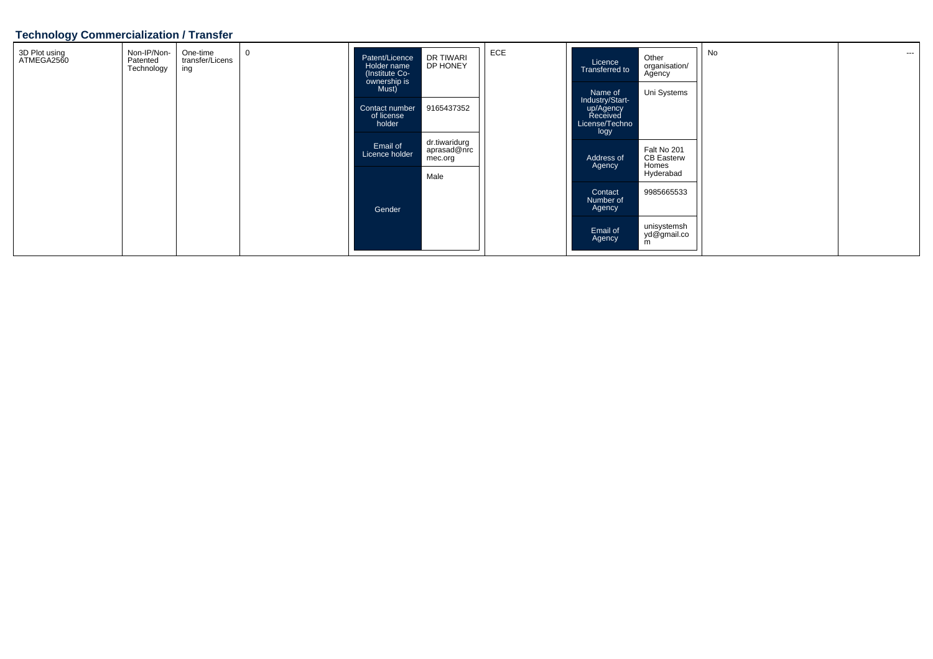#### **Technology Commercialization / Transfer**

| 3D Plot using<br>ATMEGA2560 | Non-IP/Non-<br>Patented<br>Technology | One-time<br>transfer/Licens<br>ing | Patent/Licence<br>Holder name<br>(Institute Co-<br>ownership is<br>Must) | DR TIWARI<br>DP HONEY                   | ECE | Licence<br>Transferred to                                                     | Other<br>organisation/<br>Agency                       | No | $--$ |
|-----------------------------|---------------------------------------|------------------------------------|--------------------------------------------------------------------------|-----------------------------------------|-----|-------------------------------------------------------------------------------|--------------------------------------------------------|----|------|
|                             |                                       |                                    | Contact number<br>of license<br>holder                                   | 9165437352                              |     | Name of<br>Industry/Start-<br>up/Agency<br>Received<br>License/Techno<br>logy | Uni Systems                                            |    |      |
|                             |                                       |                                    | Email of<br>Licence holder                                               | dr.tiwaridurg<br>aprasad@nrc<br>mec.org |     | Address of<br>Agency                                                          | Falt No 201<br><b>CB Easterw</b><br>Homes<br>Hyderabad |    |      |
|                             |                                       |                                    | Gender                                                                   | Male                                    |     | Contact<br>Number of<br>Agency                                                | 9985665533                                             |    |      |
|                             |                                       |                                    |                                                                          |                                         |     | Email of<br>Agency                                                            | unisystemsh<br>yd@gmail.co<br>m                        |    |      |